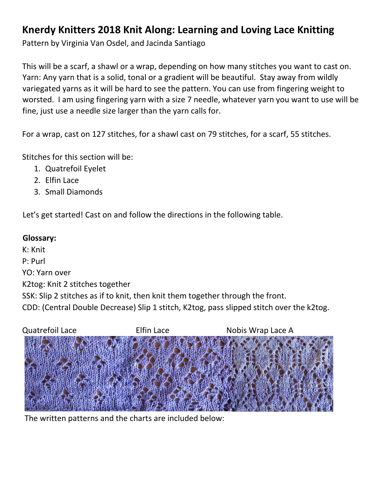## **Knerdy Knitters 2018 Knit Along: Learning and Loving Lace Knitting**

Pattern by Virginia Van Osdel, and Jacinda Santiago

This will be a scarf, a shawl or a wrap, depending on how many stitches you want to cast on. Yarn: Any yarn that is a solid, tonal or a gradient will be beautiful. Stay away from wildly variegated yarns as it will be hard to see the pattern. You can use from fingering weight to worsted. I am using fingering yarn with a size 7 needle, whatever yarn you want to use will be fine, just use a needle size larger than the yarn calls for.

For a wrap, cast on 127 stitches, for a shawl cast on 79 stitches, for a scarf, 55 stitches.

Stitches for this section will be:

- 1. Quatrefoil Eyelet
- 2. Elfin Lace
- 3. Small Diamonds

Let's get started! Cast on and follow the directions in the following table.

## **Glossary:**

K: Knit P: Purl YO: Yarn over K2tog: Knit 2 stitches together SSK: Slip 2 stitches as if to knit, then knit them together through the front. CDD: (Central Double Decrease) Slip 1 stitch, K2tog, pass slipped stitch over the k2tog.



The written patterns and the charts are included below: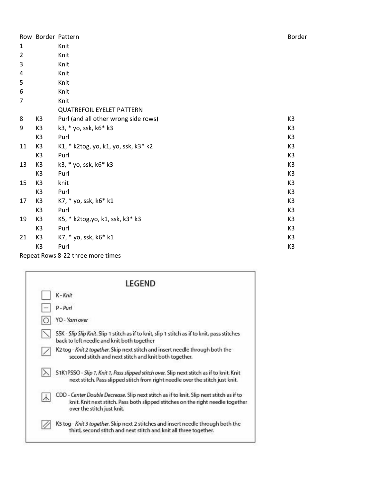|                |                | Row Border Pattern                   | Border         |
|----------------|----------------|--------------------------------------|----------------|
| $\mathbf{1}$   |                | Knit                                 |                |
| $\overline{2}$ |                | Knit                                 |                |
| 3              |                | Knit                                 |                |
| 4              |                | Knit                                 |                |
| 5              |                | Knit                                 |                |
| 6              |                | Knit                                 |                |
| 7              |                | Knit                                 |                |
|                |                | <b>QUATREFOIL EYELET PATTERN</b>     |                |
| 8              | K <sub>3</sub> | Purl (and all other wrong side rows) | K3             |
| 9              | K3             | k3, * yo, ssk, k6* k3                | K3             |
|                | K3             | Purl                                 | K <sub>3</sub> |
| 11             | K3             | K1, * k2tog, yo, k1, yo, ssk, k3* k2 | K <sub>3</sub> |
|                | K <sub>3</sub> | Purl                                 | K <sub>3</sub> |
| 13             | K <sub>3</sub> | k3, * yo, ssk, k6* k3                | K <sub>3</sub> |
|                | K <sub>3</sub> | Purl                                 | K <sub>3</sub> |
| 15             | K <sub>3</sub> | knit                                 | K <sub>3</sub> |
|                | K <sub>3</sub> | Purl                                 | K <sub>3</sub> |
| 17             | K <sub>3</sub> | K7, * yo, ssk, k6* k1                | K <sub>3</sub> |
|                | K <sub>3</sub> | Purl                                 | K3             |
| 19             | K <sub>3</sub> | K5, * k2tog, yo, k1, ssk, k3* k3     | K3             |
|                | K <sub>3</sub> | Purl                                 | K <sub>3</sub> |
| 21             | K <sub>3</sub> | K7, * yo, ssk, k6* k1                | K <sub>3</sub> |
|                | K3             | Purl                                 | K3             |
|                |                |                                      |                |

Repeat Rows 8 -22 three more times

| LEGEND                                                                                                                                                                                                   |
|----------------------------------------------------------------------------------------------------------------------------------------------------------------------------------------------------------|
| K-Knit                                                                                                                                                                                                   |
| $P - Purl$                                                                                                                                                                                               |
| YO - Yam over                                                                                                                                                                                            |
| SSK - Slip Slip Knit. Slip 1 stitch as if to knit, slip 1 stitch as if to knit, pass stitches<br>back to left needle and knit both together                                                              |
| K2 tog - Knit 2 together. Skip next stitch and insert needle through both the<br>second stitch and next stitch and knit both together.                                                                   |
| S1K1PSSO - Slip 1, Knit 1, Pass slipped stitch over. Slip next stitch as if to knit. Knit<br>next stitch. Pass slipped stitch from right needle over the stitch just knit.                               |
| CDD - Center Double Decrease. Slip next stitch as if to knit. Slip next stitch as if to<br>knit. Knit next stitch. Pass both slipped stitches on the right needle together<br>over the stitch just knit. |
| K3 tog - Knit 3 together. Skip next 2 stitches and insert needle through both the<br>third, second stitch and next stitch and knit all three together.                                                   |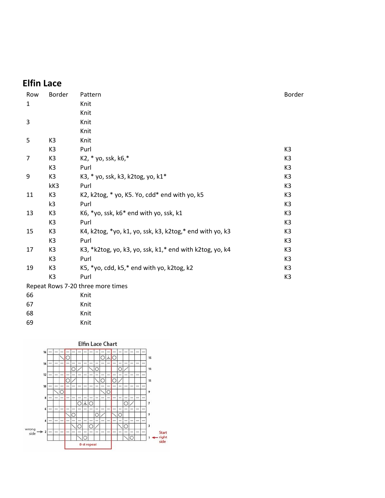## **Elfin Lace**

| Row            | Border         | Pattern                                                  | Border         |
|----------------|----------------|----------------------------------------------------------|----------------|
| $\mathbf{1}$   |                | Knit                                                     |                |
|                |                | Knit                                                     |                |
| 3              |                | Knit                                                     |                |
|                |                | Knit                                                     |                |
| 5              | K <sub>3</sub> | Knit                                                     |                |
|                | K <sub>3</sub> | Purl                                                     | K3             |
| $\overline{7}$ | K <sub>3</sub> | K2, * yo, ssk, k6,*                                      | K <sub>3</sub> |
|                | K <sub>3</sub> | Purl                                                     | K <sub>3</sub> |
| 9              | K <sub>3</sub> | K3, * yo, ssk, k3, k2tog, yo, k1*                        | K <sub>3</sub> |
|                | kK3            | Purl                                                     | K <sub>3</sub> |
| 11             | K <sub>3</sub> | K2, k2tog, * yo, K5. Yo, cdd* end with yo, k5            | K3             |
|                | k3             | Purl                                                     | K <sub>3</sub> |
| 13             | K <sub>3</sub> | K6, *yo, ssk, k6* end with yo, ssk, k1                   | K <sub>3</sub> |
|                | K <sub>3</sub> | Purl                                                     | K <sub>3</sub> |
| 15             | K <sub>3</sub> | K4, k2tog, *yo, k1, yo, ssk, k3, k2tog,* end with yo, k3 | K <sub>3</sub> |
|                | K <sub>3</sub> | Purl                                                     | K3             |
| 17             | K <sub>3</sub> | K3, *k2tog, yo, k3, yo, ssk, k1,* end with k2tog, yo, k4 | K3             |
|                | K <sub>3</sub> | Purl                                                     | K <sub>3</sub> |
| 19             | K <sub>3</sub> | K5, *yo, cdd, k5,* end with yo, k2tog, k2                | K <sub>3</sub> |
|                | K <sub>3</sub> | Purl                                                     | K <sub>3</sub> |
|                |                | Repeat Rows 7-20 three more times                        |                |

| Repeat Rows / 20 three mor |      |
|----------------------------|------|
| 66                         | Knit |
| 67                         | Knit |
| 68                         | Knit |
| 69                         | Knit |
|                            |      |